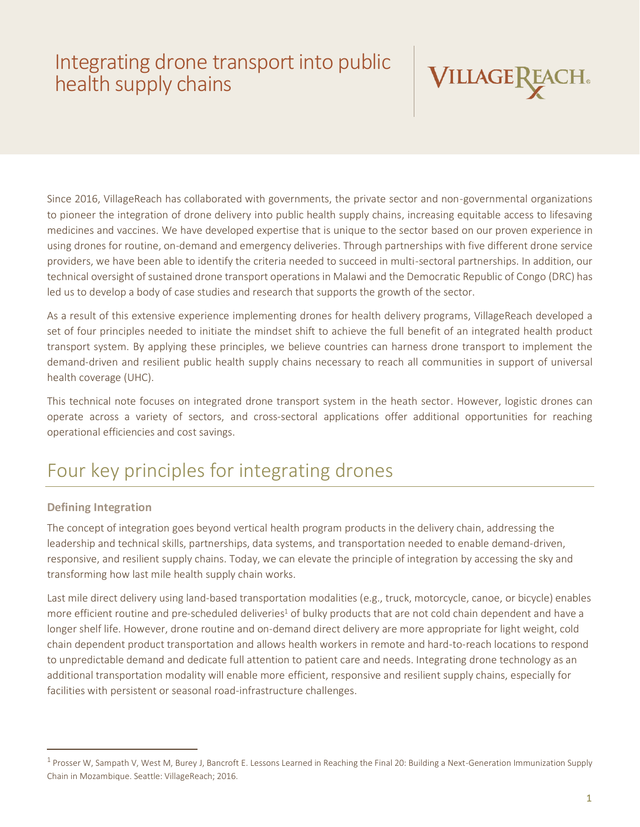# Integrating drone transport into public health supply chains



Since 2016, VillageReach has collaborated with governments, the private sector and non-governmental organizations to pioneer the integration of drone delivery into public health supply chains, increasing equitable access to lifesaving medicines and vaccines. We have developed expertise that is unique to the sector based on our proven experience in using drones for routine, on-demand and emergency deliveries. Through partnerships with five different drone service providers, we have been able to identify the criteria needed to succeed in multi-sectoral partnerships. In addition, our technical oversight of sustained drone transport operations in Malawi and the Democratic Republic of Congo (DRC) has led us to develop a body of case studies and research that supports the growth of the sector.

As a result of this extensive experience implementing drones for health delivery programs, VillageReach developed a set of four principles needed to initiate the mindset shift to achieve the full benefit of an integrated health product transport system. By applying these principles, we believe countries can harness drone transport to implement the demand-driven and resilient public health supply chains necessary to reach all communities in support of universal health coverage (UHC).

This technical note focuses on integrated drone transport system in the heath sector. However, logistic drones can operate across a variety of sectors, and cross-sectoral applications offer additional opportunities for reaching operational efficiencies and cost savings.

## Four key principles for integrating drones

### **Defining Integration**

The concept of integration goes beyond vertical health program products in the delivery chain, addressing the leadership and technical skills, partnerships, data systems, and transportation needed to enable demand-driven, responsive, and resilient supply chains. Today, we can elevate the principle of integration by accessing the sky and transforming how last mile health supply chain works.

Last mile direct delivery using land-based transportation modalities (e.g., truck, motorcycle, canoe, or bicycle) enables more efficient routine and pre-scheduled deliveries<sup>1</sup> of bulky products that are not cold chain dependent and have a longer shelf life. However, drone routine and on-demand direct delivery are more appropriate for light weight, cold chain dependent product transportation and allows health workers in remote and hard-to-reach locations to respond to unpredictable demand and dedicate full attention to patient care and needs. Integrating drone technology as an additional transportation modality will enable more efficient, responsive and resilient supply chains, especially for facilities with persistent or seasonal road-infrastructure challenges.

<sup>&</sup>lt;sup>1</sup> Prosser W, Sampath V, West M, Burey J, Bancroft E. Lessons Learned in Reaching the Final 20: Building a Next-Generation Immunization Supply Chain in Mozambique. Seattle: VillageReach; 2016.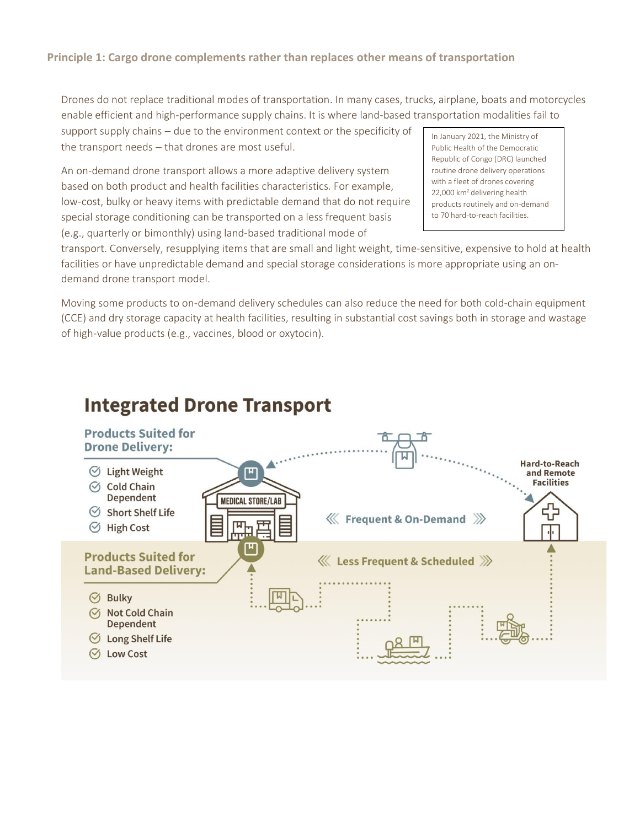#### **Principle 1: Cargo drone complements rather than replaces other means of transportation**

Drones do not replace traditional modes of transportation. In many cases, trucks, airplane, boats and motorcycles enable efficient and high-performance supply chains. It is where land-based transportation modalities fail to

support supply chains – due to the environment context or the specificity of the transport needs – that drones are most useful.

An on-demand drone transport allows a more adaptive delivery system based on both product and health facilities characteristics. For example, low-cost, bulky or heavy items with predictable demand that do not require special storage conditioning can be transported on a less frequent basis (e.g., quarterly or bimonthly) using land-based traditional mode of

In January 2021, the Ministry of Public Health of the Democratic Republic of Congo (DRC) launched routine drone delivery operations with a fleet of drones covering 22,000 km<sup>2</sup> delivering health products routinely and on-demand to 70 hard-to-reach facilities.

transport. Conversely, resupplying items that are small and light weight, time-sensitive, expensive to hold at health facilities or have unpredictable demand and special storage considerations is more appropriate using an ondemand drone transport model.

Moving some products to on-demand delivery schedules can also reduce the need for both cold-chain equipment (CCE) and dry storage capacity at health facilities, resulting in substantial cost savings both in storage and wastage of high-value products (e.g., vaccines, blood or oxytocin).

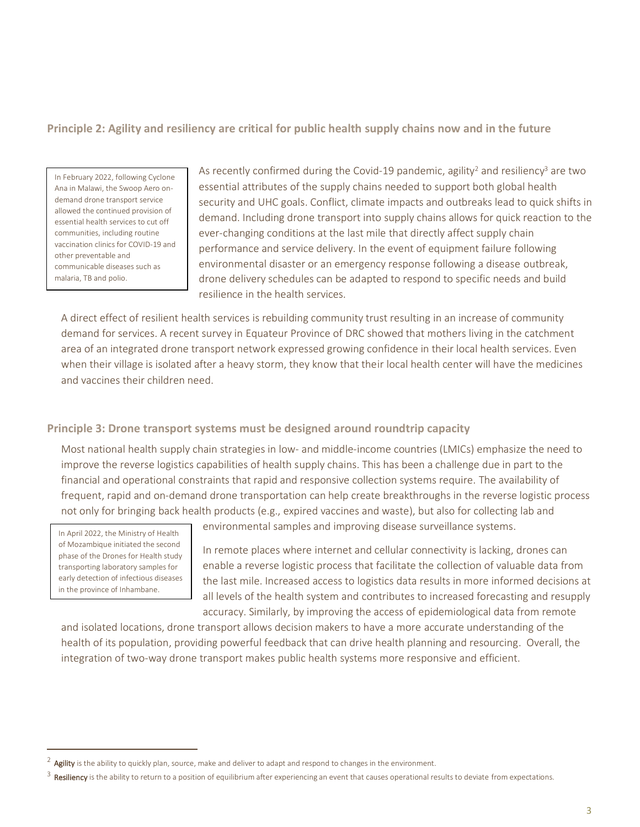#### **Principle 2: Agility and resiliency are critical for public health supply chains now and in the future**

In February 2022, following Cyclone Ana in Malawi, the Swoop Aero ondemand drone transport service allowed the continued provision of essential health services to cut off communities, including routine vaccination clinics for COVID-19 and other preventable and communicable diseases such as malaria, TB and polio.

As recently confirmed during the Covid-19 pandemic, agility<sup>2</sup> and resiliency<sup>3</sup> are two essential attributes of the supply chains needed to support both global health security and UHC goals. Conflict, climate impacts and outbreaks lead to quick shifts in demand. Including drone transport into supply chains allows for quick reaction to the ever-changing conditions at the last mile that directly affect supply chain performance and service delivery. In the event of equipment failure following environmental disaster or an emergency response following a disease outbreak, drone delivery schedules can be adapted to respond to specific needs and build resilience in the health services.

A direct effect of resilient health services is rebuilding community trust resulting in an increase of community demand for services. A recent survey in Equateur Province of DRC showed that mothers living in the catchment area of an integrated drone transport network expressed growing confidence in their local health services. Even when their village is isolated after a heavy storm, they know that their local health center will have the medicines and vaccines their children need.

#### **Principle 3: Drone transport systems must be designed around roundtrip capacity**

Most national health supply chain strategies in low- and middle-income countries (LMICs) emphasize the need to improve the reverse logistics capabilities of health supply chains. This has been a challenge due in part to the financial and operational constraints that rapid and responsive collection systems require. The availability of frequent, rapid and on-demand drone transportation can help create breakthroughs in the reverse logistic process not only for bringing back health products (e.g., expired vaccines and waste), but also for collecting lab and

In April 2022, the Ministry of Health of Mozambique initiated the second phase of the Drones for Health study transporting laboratory samples for early detection of infectious diseases in the province of Inhambane.

environmental samples and improving disease surveillance systems.

In remote places where internet and cellular connectivity is lacking, drones can enable a reverse logistic process that facilitate the collection of valuable data from the last mile. Increased access to logistics data results in more informed decisions at all levels of the health system and contributes to increased forecasting and resupply accuracy. Similarly, by improving the access of epidemiological data from remote

and isolated locations, drone transport allows decision makers to have a more accurate understanding of the health of its population, providing powerful feedback that can drive health planning and resourcing. Overall, the integration of two-way drone transport makes public health systems more responsive and efficient.

 $^2$  **Agility** is the ability to quickly plan, source, make and deliver to adapt and respond to changes in the environment.

 $^3$  Resiliency is the ability to return to a position of equilibrium after experiencing an event that causes operational results to deviate from expectations.